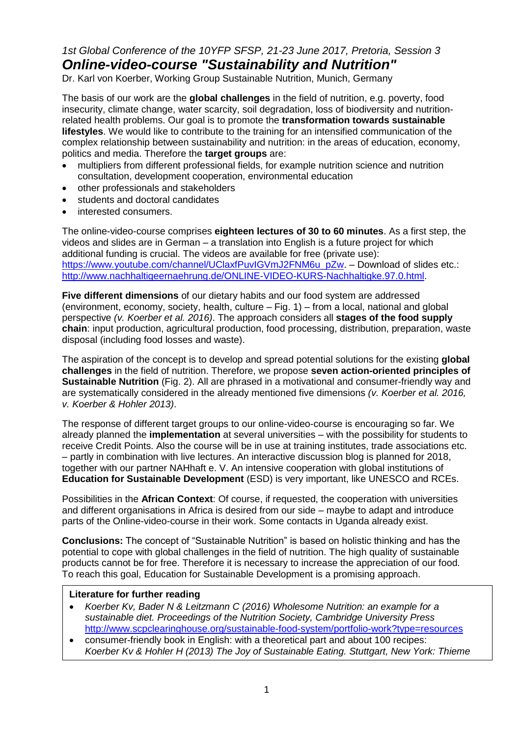# *1st Global Conference of the 10YFP SFSP, 21-23 June 2017, Pretoria, Session 3 Online-video-course "Sustainability and Nutrition"*

Dr. Karl von Koerber, Working Group Sustainable Nutrition, Munich, Germany

The basis of our work are the **global challenges** in the field of nutrition, e.g. poverty, food insecurity, climate change, water scarcity, soil degradation, loss of biodiversity and nutritionrelated health problems. Our goal is to promote the **transformation towards sustainable lifestyles**. We would like to contribute to the training for an intensified communication of the complex relationship between sustainability and nutrition: in the areas of education, economy, politics and media. Therefore the **target groups** are:

- multipliers from different professional fields, for example nutrition science and nutrition consultation, development cooperation, environmental education
- other professionals and stakeholders
- students and doctoral candidates
- interested consumers.

The online-video-course comprises **eighteen lectures of 30 to 60 minutes**. As a first step, the videos and slides are in German – a translation into English is a future project for which additional funding is crucial. The videos are available for free (private use): [https://www.youtube.com/channel/UClaxfPuvIGVmJ2FNM6u\\_pZw.](https://www.youtube.com/channel/UClaxfPuvIGVmJ2FNM6u_pZw) – Download of slides etc.: [http://www.nachhaltigeernaehrung.de/ONLINE-VIDEO-KURS-Nachhaltigke.97.0.html.](http://www.nachhaltigeernaehrung.de/ONLINE-VIDEO-KURS-Nachhaltigke.97.0.html)

**Five different dimensions** of our dietary habits and our food system are addressed (environment, economy, society, health, culture – Fig. 1) – from a local, national and global perspective *(v. Koerber et al. 2016)*. The approach considers all **stages of the food supply chain**: input production, agricultural production, food processing, distribution, preparation, waste disposal (including food losses and waste).

The aspiration of the concept is to develop and spread potential solutions for the existing **global challenges** in the field of nutrition. Therefore, we propose **seven action-oriented principles of Sustainable Nutrition** (Fig. 2). All are phrased in a motivational and consumer-friendly way and are systematically considered in the already mentioned five dimensions *(v. Koerber et al. 2016, v. Koerber & Hohler 2013)*.

The response of different target groups to our online-video-course is encouraging so far. We already planned the **implementation** at several universities – with the possibility for students to receive Credit Points. Also the course will be in use at training institutes, trade associations etc. – partly in combination with live lectures. An interactive discussion blog is planned for 2018, together with our partner NAHhaft e. V. An intensive cooperation with global institutions of **Education for Sustainable Development** (ESD) is very important, like UNESCO and RCEs.

Possibilities in the **African Context**: Of course, if requested, the cooperation with universities and different organisations in Africa is desired from our side – maybe to adapt and introduce parts of the Online-video-course in their work. Some contacts in Uganda already exist.

**Conclusions:** The concept of "Sustainable Nutrition" is based on holistic thinking and has the potential to cope with global challenges in the field of nutrition. The high quality of sustainable products cannot be for free. Therefore it is necessary to increase the appreciation of our food. To reach this goal, Education for Sustainable Development is a promising approach.

## **Literature for further reading**

- *Koerber Kv, Bader N & Leitzmann C (2016) Wholesome Nutrition: an example for a sustainable diet. Proceedings of the Nutrition Society, Cambridge University Press* [http://www.scpclearinghouse.org/sustainable-food-system/portfolio-work?type=resources](http://www.scpclearinghouse.org/sustainable-food-system/portfolio-work?type=resources%20)
- consumer-friendly book in English: with a theoretical part and about 100 recipes: *Koerber Kv & Hohler H (2013) The Joy of Sustainable Eating. Stuttgart, New York: Thieme*